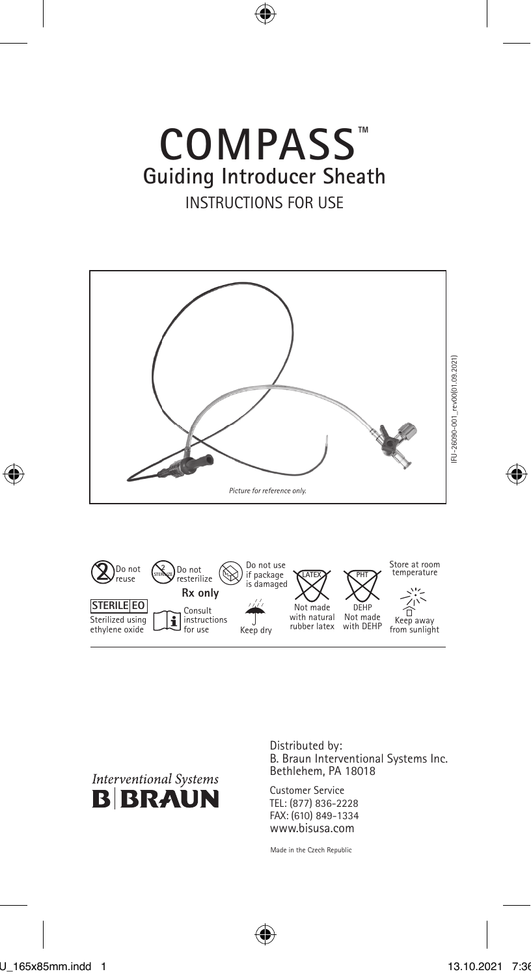# **COMPASS**™ **Guiding Introducer Sheath** INSTRUCTIONS FOR USE







Distributed by: B. Braun Interventional Systems Inc. Bethlehem, PA 18018

Customer Service TEL: (877) 836-2228 FAX: (610) 849-1334 www.bisusa.com

Made in the Czech Republic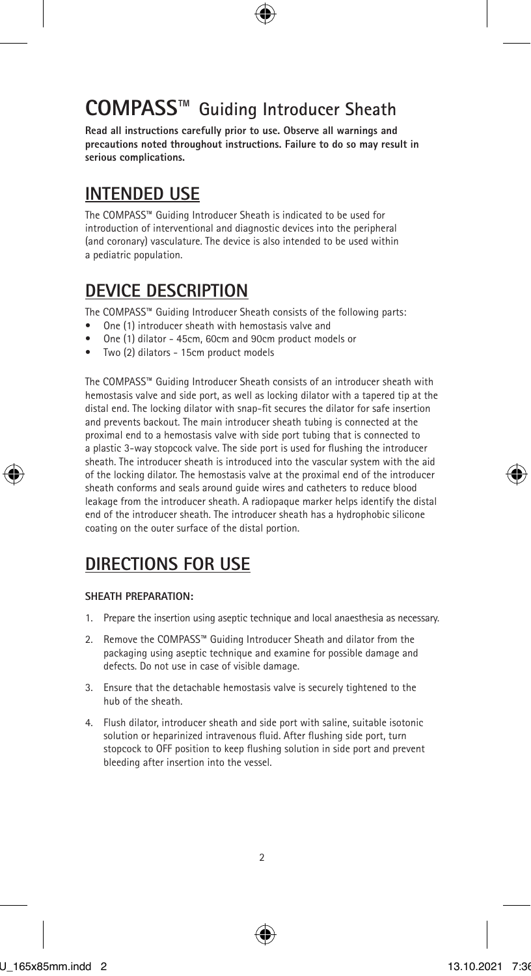# **COMPASS™ Guiding Introducer Sheath**

**Read all instructions carefully prior to use. Observe all warnings and precautions noted throughout instructions. Failure to do so may result in serious complications.**

### **INTENDED USE**

The COMPASS™ Guiding Introducer Sheath is indicated to be used for introduction of interventional and diagnostic devices into the peripheral (and coronary) vasculature. The device is also intended to be used within a pediatric population.

### **DEVICE DESCRIPTION**

The COMPASS™ Guiding Introducer Sheath consists of the following parts:

- One (1) introducer sheath with hemostasis valve and
- One (1) dilator 45cm, 60cm and 90cm product models or
- Two (2) dilators 15cm product models

The COMPASS™ Guiding Introducer Sheath consists of an introducer sheath with hemostasis valve and side port, as well as locking dilator with a tapered tip at the distal end. The locking dilator with snap-fit secures the dilator for safe insertion and prevents backout. The main introducer sheath tubing is connected at the proximal end to a hemostasis valve with side port tubing that is connected to a plastic 3-way stopcock valve. The side port is used for flushing the introducer sheath. The introducer sheath is introduced into the vascular system with the aid of the locking dilator. The hemostasis valve at the proximal end of the introducer sheath conforms and seals around guide wires and catheters to reduce blood leakage from the introducer sheath. A radiopaque marker helps identify the distal end of the introducer sheath. The introducer sheath has a hydrophobic silicone coating on the outer surface of the distal portion.

### **DIRECTIONS FOR USE**

#### **SHEATH PREPARATION:**

- 1. Prepare the insertion using aseptic technique and local anaesthesia as necessary.
- 2. Remove the COMPASS™ Guiding Introducer Sheath and dilator from the packaging using aseptic technique and examine for possible damage and defects. Do not use in case of visible damage.
- 3. Ensure that the detachable hemostasis valve is securely tightened to the hub of the sheath.
- 4. Flush dilator, introducer sheath and side port with saline, suitable isotonic solution or heparinized intravenous fluid. After flushing side port, turn stopcock to OFF position to keep flushing solution in side port and prevent bleeding after insertion into the vessel.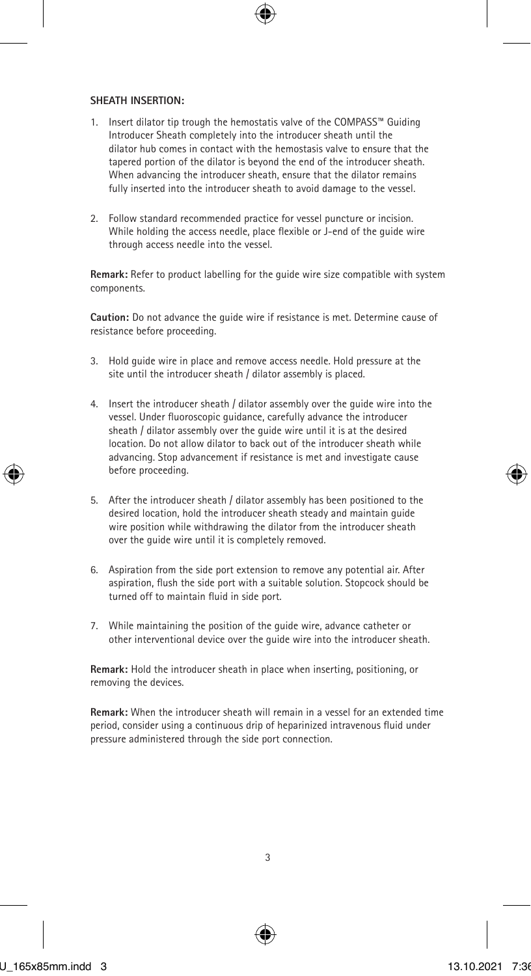#### **SHEATH INSERTION:**

- 1. Insert dilator tip trough the hemostatis valve of the COMPASS™ Guiding Introducer Sheath completely into the introducer sheath until the dilator hub comes in contact with the hemostasis valve to ensure that the tapered portion of the dilator is beyond the end of the introducer sheath. When advancing the introducer sheath, ensure that the dilator remains fully inserted into the introducer sheath to avoid damage to the vessel.
- 2. Follow standard recommended practice for vessel puncture or incision. While holding the access needle, place flexible or J-end of the guide wire through access needle into the vessel.

**Remark:** Refer to product labelling for the guide wire size compatible with system components.

**Caution:** Do not advance the guide wire if resistance is met. Determine cause of resistance before proceeding.

- 3. Hold guide wire in place and remove access needle. Hold pressure at the site until the introducer sheath / dilator assembly is placed.
- 4. Insert the introducer sheath / dilator assembly over the guide wire into the vessel. Under fluoroscopic guidance, carefully advance the introducer sheath / dilator assembly over the guide wire until it is at the desired location. Do not allow dilator to back out of the introducer sheath while advancing. Stop advancement if resistance is met and investigate cause before proceeding.
- 5. After the introducer sheath / dilator assembly has been positioned to the desired location, hold the introducer sheath steady and maintain guide wire position while withdrawing the dilator from the introducer sheath over the guide wire until it is completely removed.
- 6. Aspiration from the side port extension to remove any potential air. After aspiration, flush the side port with a suitable solution. Stopcock should be turned off to maintain fluid in side port.
- 7. While maintaining the position of the guide wire, advance catheter or other interventional device over the guide wire into the introducer sheath.

**Remark:** Hold the introducer sheath in place when inserting, positioning, or removing the devices.

**Remark:** When the introducer sheath will remain in a vessel for an extended time period, consider using a continuous drip of heparinized intravenous fluid under pressure administered through the side port connection.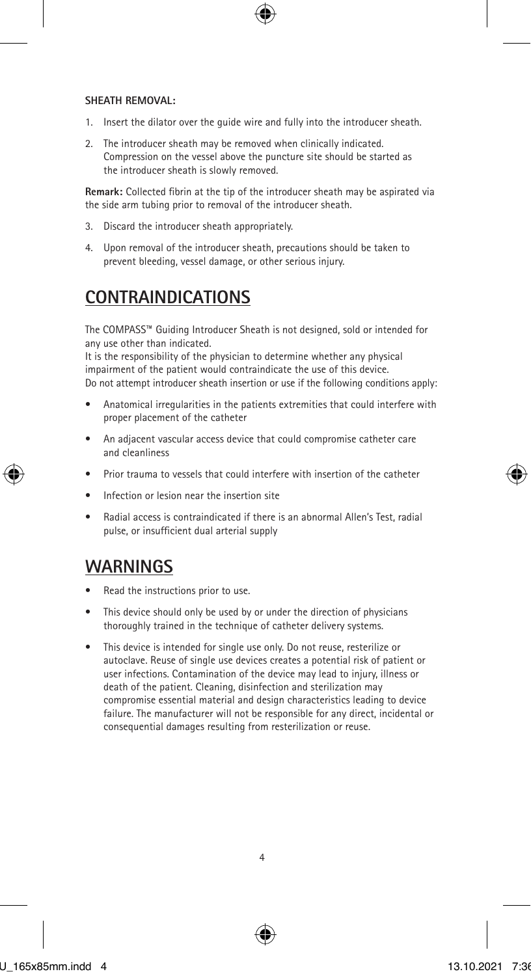#### **SHEATH REMOVAL:**

- 1. Insert the dilator over the guide wire and fully into the introducer sheath.
- 2. The introducer sheath may be removed when clinically indicated. Compression on the vessel above the puncture site should be started as the introducer sheath is slowly removed.

**Remark:** Collected fibrin at the tip of the introducer sheath may be aspirated via the side arm tubing prior to removal of the introducer sheath.

- 3. Discard the introducer sheath appropriately.
- 4. Upon removal of the introducer sheath, precautions should be taken to prevent bleeding, vessel damage, or other serious injury.

## **CONTRAINDICATIONS**

The COMPASS™ Guiding Introducer Sheath is not designed, sold or intended for any use other than indicated.

It is the responsibility of the physician to determine whether any physical impairment of the patient would contraindicate the use of this device. Do not attempt introducer sheath insertion or use if the following conditions apply:

- Anatomical irregularities in the patients extremities that could interfere with proper placement of the catheter
- An adjacent vascular access device that could compromise catheter care and cleanliness
- Prior trauma to vessels that could interfere with insertion of the catheter
- Infection or lesion near the insertion site
- Radial access is contraindicated if there is an abnormal Allen's Test, radial pulse, or insufficient dual arterial supply

### **WARNINGS**

- Read the instructions prior to use.
- This device should only be used by or under the direction of physicians thoroughly trained in the technique of catheter delivery systems.
- This device is intended for single use only. Do not reuse, resterilize or autoclave. Reuse of single use devices creates a potential risk of patient or user infections. Contamination of the device may lead to injury, illness or death of the patient. Cleaning, disinfection and sterilization may compromise essential material and design characteristics leading to device failure. The manufacturer will not be responsible for any direct, incidental or consequential damages resulting from resterilization or reuse.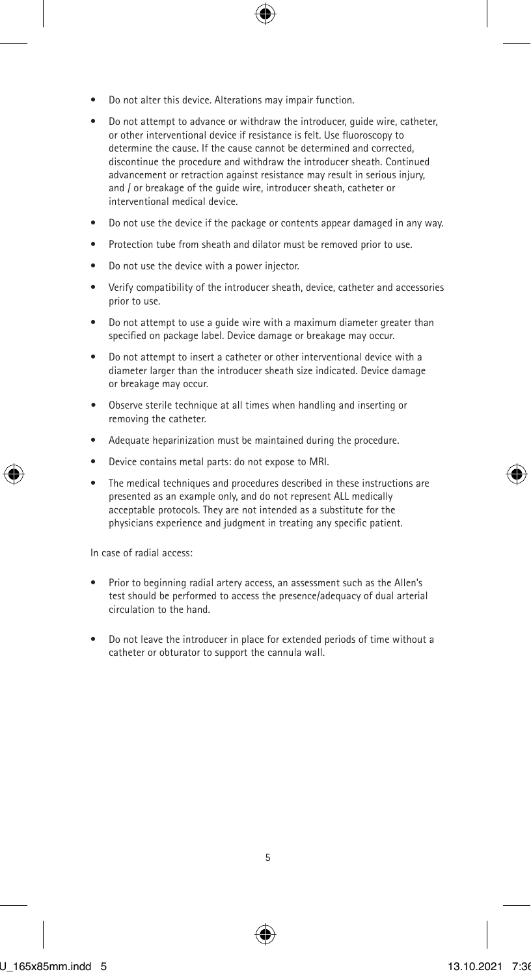- Do not alter this device. Alterations may impair function.
- Do not attempt to advance or withdraw the introducer, guide wire, catheter, or other interventional device if resistance is felt. Use fluoroscopy to determine the cause. If the cause cannot be determined and corrected, discontinue the procedure and withdraw the introducer sheath. Continued advancement or retraction against resistance may result in serious injury, and / or breakage of the quide wire, introducer sheath, catheter or interventional medical device.
- Do not use the device if the package or contents appear damaged in any way.
- Protection tube from sheath and dilator must be removed prior to use.
- Do not use the device with a power injector.
- Verify compatibility of the introducer sheath, device, catheter and accessories prior to use.
- Do not attempt to use a guide wire with a maximum diameter greater than specified on package label. Device damage or breakage may occur.
- Do not attempt to insert a catheter or other interventional device with a diameter larger than the introducer sheath size indicated. Device damage or breakage may occur.
- **•** Observe sterile technique at all times when handling and inserting or removing the catheter.
- Adequate heparinization must be maintained during the procedure.
- Device contains metal parts: do not expose to MRI.
- The medical techniques and procedures described in these instructions are presented as an example only, and do not represent ALL medically acceptable protocols. They are not intended as a substitute for the physicians experience and judgment in treating any specific patient.

In case of radial access:

- Prior to beginning radial artery access, an assessment such as the Allen's test should be performed to access the presence/adequacy of dual arterial circulation to the hand.
- Do not leave the introducer in place for extended periods of time without a catheter or obturator to support the cannula wall.